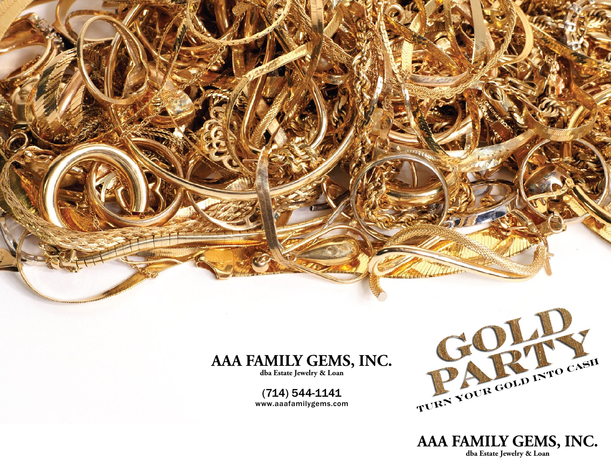

# **AAA FAMILY GEMS, INC.**

**dba Estate Jewelry & Loan**

(714) 544-1141 www.aaafamilygems.com



**AAA FAMILY GEMS, INC. dba Estate Jewelry & Loan**